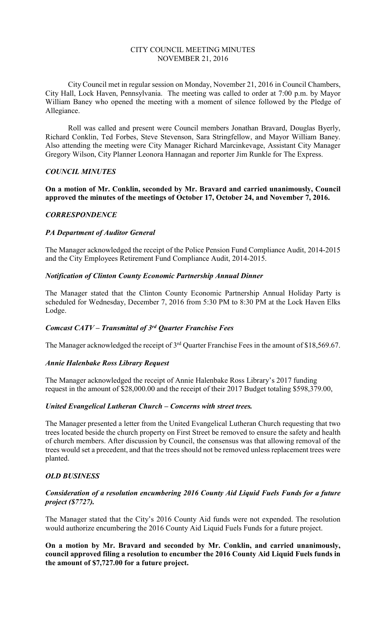#### CITY COUNCIL MEETING MINUTES NOVEMBER 21, 2016

City Council met in regular session on Monday, November 21, 2016 in Council Chambers, City Hall, Lock Haven, Pennsylvania. The meeting was called to order at 7:00 p.m. by Mayor William Baney who opened the meeting with a moment of silence followed by the Pledge of Allegiance.

Roll was called and present were Council members Jonathan Bravard, Douglas Byerly, Richard Conklin, Ted Forbes, Steve Stevenson, Sara Stringfellow, and Mayor William Baney. Also attending the meeting were City Manager Richard Marcinkevage, Assistant City Manager Gregory Wilson, City Planner Leonora Hannagan and reporter Jim Runkle for The Express.

#### *COUNCIL MINUTES*

**On a motion of Mr. Conklin, seconded by Mr. Bravard and carried unanimously, Council approved the minutes of the meetings of October 17, October 24, and November 7, 2016.** 

## *CORRESPONDENCE*

#### *PA Department of Auditor General*

The Manager acknowledged the receipt of the Police Pension Fund Compliance Audit, 2014-2015 and the City Employees Retirement Fund Compliance Audit, 2014-2015.

## *Notification of Clinton County Economic Partnership Annual Dinner*

The Manager stated that the Clinton County Economic Partnership Annual Holiday Party is scheduled for Wednesday, December 7, 2016 from 5:30 PM to 8:30 PM at the Lock Haven Elks Lodge.

## *Comcast CATV – Transmittal of 3rd Quarter Franchise Fees*

The Manager acknowledged the receipt of 3<sup>rd</sup> Quarter Franchise Fees in the amount of \$18,569.67.

## *Annie Halenbake Ross Library Request*

The Manager acknowledged the receipt of Annie Halenbake Ross Library's 2017 funding request in the amount of \$28,000.00 and the receipt of their 2017 Budget totaling \$598,379.00,

#### *United Evangelical Lutheran Church – Concerns with street trees.*

The Manager presented a letter from the United Evangelical Lutheran Church requesting that two trees located beside the church property on First Street be removed to ensure the safety and health of church members. After discussion by Council, the consensus was that allowing removal of the trees would set a precedent, and that the trees should not be removed unless replacement trees were planted.

## *OLD BUSINESS*

## *Consideration of a resolution encumbering 2016 County Aid Liquid Fuels Funds for a future project (\$7727).*

The Manager stated that the City's 2016 County Aid funds were not expended. The resolution would authorize encumbering the 2016 County Aid Liquid Fuels Funds for a future project.

**On a motion by Mr. Bravard and seconded by Mr. Conklin, and carried unanimously, council approved filing a resolution to encumber the 2016 County Aid Liquid Fuels funds in the amount of \$7,727.00 for a future project.**